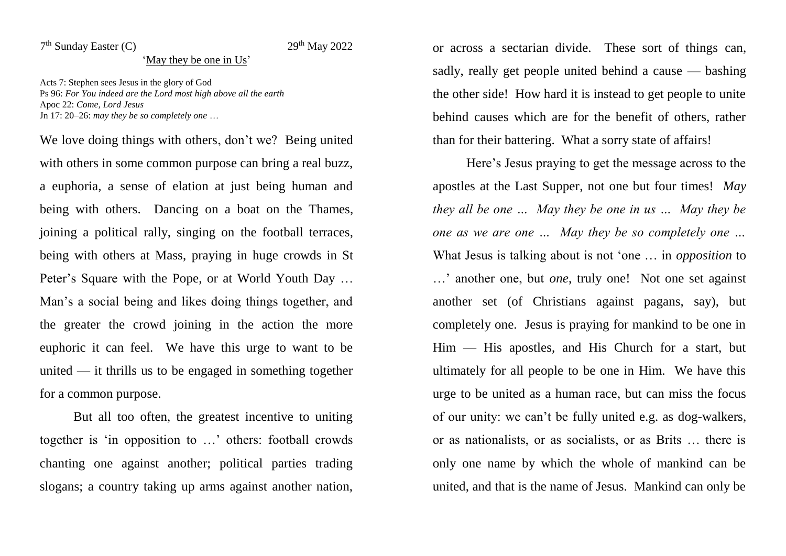## 7<sup>th</sup> Sunday Easter (C) 29<sup>th</sup> May 2022

## 'May they be one in Us'

Acts 7: Stephen sees Jesus in the glory of God Ps 96: *For You indeed are the Lord most high above all the earth* Apoc 22: *Come, Lord Jesus* Jn 17: 20–26: *may they be so completely one* …

We love doing things with others, don't we? Being united with others in some common purpose can bring a real buzz, a euphoria, a sense of elation at just being human and being with others. Dancing on a boat on the Thames, joining a political rally, singing on the football terraces, being with others at Mass, praying in huge crowds in St Peter's Square with the Pope, or at World Youth Day … Man's a social being and likes doing things together, and the greater the crowd joining in the action the more euphoric it can feel. We have this urge to want to be united  $\frac{d}{dx}$  it thrills us to be engaged in something together for a common purpose.

But all too often, the greatest incentive to uniting together is 'in opposition to …' others: football crowds chanting one against another; political parties trading slogans; a country taking up arms against another nation, or across a sectarian divide. These sort of things can, sadly, really get people united behind a cause — bashing the other side! How hard it is instead to get people to unite behind causes which are for the benefit of others, rather than for their battering. What a sorry state of affairs!

Here's Jesus praying to get the message across to the apostles at the Last Supper, not one but four times! *May they all be one … May they be one in us … May they be one as we are one … May they be so completely one …*  What Jesus is talking about is not 'one … in *opposition* to …' another one, but *one*, truly one! Not one set against another set (of Christians against pagans, say), but completely one. Jesus is praying for mankind to be one in Him — His apostles, and His Church for a start, but ultimately for all people to be one in Him. We have this urge to be united as a human race, but can miss the focus of our unity: we can't be fully united e.g. as dog-walkers, or as nationalists, or as socialists, or as Brits … there is only one name by which the whole of mankind can be united, and that is the name of Jesus. Mankind can only be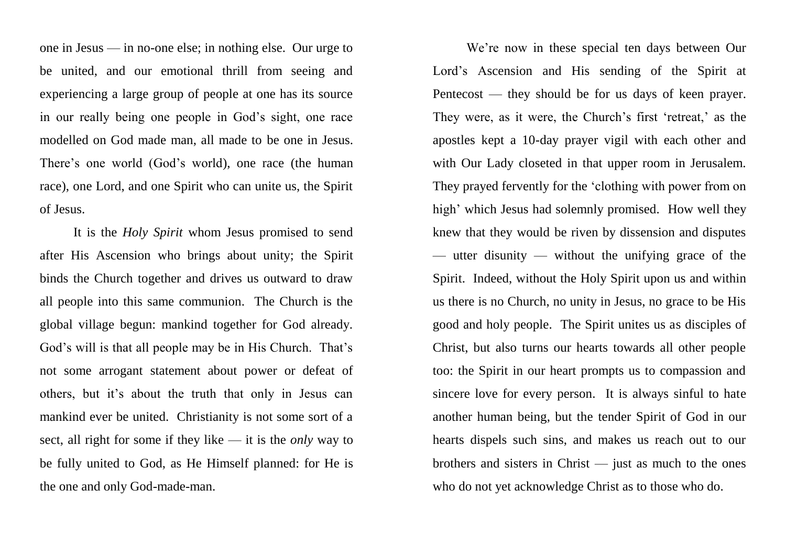one in Jesus — in no-one else; in nothing else. Our urge to be united, and our emotional thrill from seeing and experiencing a large group of people at one has its source in our really being one people in God's sight, one race modelled on God made man, all made to be one in Jesus. There's one world (God's world), one race (the human race), one Lord, and one Spirit who can unite us, the Spirit of Jesus.

It is the *Holy Spirit* whom Jesus promised to send after His Ascension who brings about unity; the Spirit binds the Church together and drives us outward to draw all people into this same communion. The Church is the global village begun: mankind together for God already. God's will is that all people may be in His Church. That's not some arrogant statement about power or defeat of others, but it's about the truth that only in Jesus can mankind ever be united. Christianity is not some sort of a sect, all right for some if they like — it is the *only* way to be fully united to God, as He Himself planned: for He is the one and only God-made-man.

We're now in these special ten days between Our Lord's Ascension and His sending of the Spirit at Pentecost — they should be for us days of keen prayer. They were, as it were, the Church's first 'retreat,' as the apostles kept a 10-day prayer vigil with each other and with Our Lady closeted in that upper room in Jerusalem. They prayed fervently for the 'clothing with power from on high' which Jesus had solemnly promised. How well they knew that they would be riven by dissension and disputes — utter disunity — without the unifying grace of the Spirit. Indeed, without the Holy Spirit upon us and within us there is no Church, no unity in Jesus, no grace to be His good and holy people. The Spirit unites us as disciples of Christ, but also turns our hearts towards all other people too: the Spirit in our heart prompts us to compassion and sincere love for every person. It is always sinful to hate another human being, but the tender Spirit of God in our hearts dispels such sins, and makes us reach out to our brothers and sisters in Christ — just as much to the ones who do not yet acknowledge Christ as to those who do.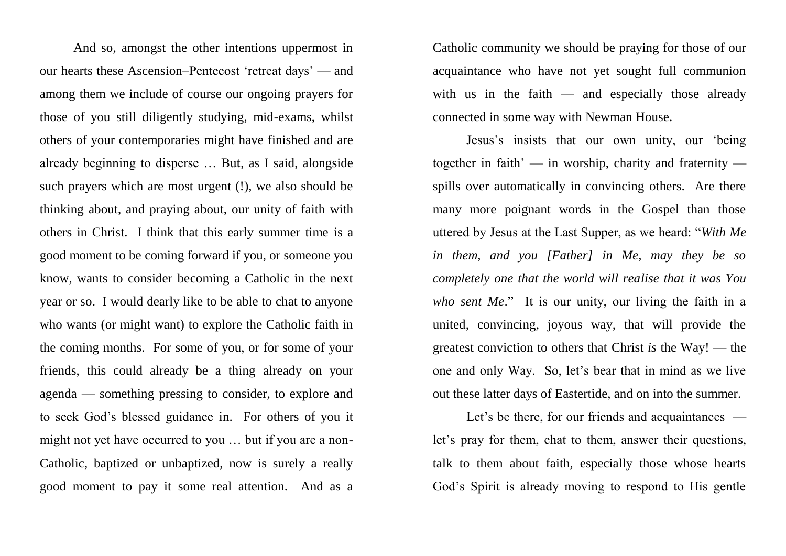And so, amongst the other intentions uppermost in our hearts these Ascension–Pentecost 'retreat days' — and among them we include of course our ongoing prayers for those of you still diligently studying, mid-exams, whilst others of your contemporaries might have finished and are already beginning to disperse … But, as I said, alongside such prayers which are most urgent (!), we also should be thinking about, and praying about, our unity of faith with others in Christ. I think that this early summer time is a good moment to be coming forward if you, or someone you know, wants to consider becoming a Catholic in the next year or so. I would dearly like to be able to chat to anyone who wants (or might want) to explore the Catholic faith in the coming months. For some of you, or for some of your friends, this could already be a thing already on your agenda — something pressing to consider, to explore and to seek God's blessed guidance in. For others of you it might not yet have occurred to you … but if you are a non-Catholic, baptized or unbaptized, now is surely a really good moment to pay it some real attention. And as a

Catholic community we should be praying for those of our acquaintance who have not yet sought full communion with us in the faith  $-$  and especially those already connected in some way with Newman House.

Jesus's insists that our own unity, our 'being together in faith' — in worship, charity and fraternity spills over automatically in convincing others. Are there many more poignant words in the Gospel than those uttered by Jesus at the Last Supper, as we heard: "*With Me in them, and you [Father] in Me, may they be so completely one that the world will realise that it was You who sent Me*." It is our unity, our living the faith in a united, convincing, joyous way, that will provide the greatest conviction to others that Christ *is* the Way! — the one and only Way. So, let's bear that in mind as we live out these latter days of Eastertide, and on into the summer.

Let's be there, for our friends and acquaintances let's pray for them, chat to them, answer their questions, talk to them about faith, especially those whose hearts God's Spirit is already moving to respond to His gentle